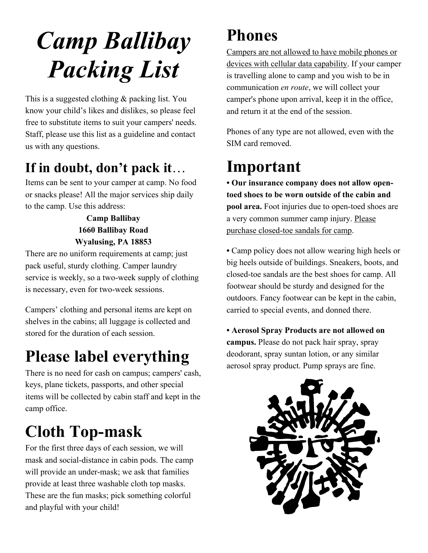# *Camp Ballibay Packing List*

This is a suggested clothing & packing list. You know your child's likes and dislikes, so please feel free to substitute items to suit your campers' needs. Staff, please use this list as a guideline and contact us with any questions.

### **If in doubt, don't pack it...**<br>Items can be sent to your camper at camp. No food

or snacks please! All the major services ship daily to the camp. Use this address:

#### **Camp Ballibay 1660 Ballibay Road Wyalusing, PA 18853**

There are no uniform requirements at camp; just pack useful, sturdy clothing. Camper laundry service is weekly, so a two-week supply of clothing is necessary, even for two-week sessions.

Campers' clothing and personal items are kept on shelves in the cabins; all luggage is collected and stored for the duration of each session.

#### **Please label everything**

There is no need for cash on campus; campers' cash, keys, plane tickets, passports, and other special items will be collected by cabin staff and kept in the camp office.

#### **Cloth Top-mask**

For the first three days of each session, we will mask and social-distance in cabin pods. The camp will provide an under-mask; we ask that families provide at least three washable cloth top masks. These are the fun masks; pick something colorful and playful with your child!

#### **Phones**

Campers are not allowed to have mobile phones or devices with cellular data capability. If your camper is travelling alone to camp and you wish to be in communication *en route*, we will collect your camper's phone upon arrival, keep it in the office, and return it at the end of the session.

Phones of any type are not allowed, even with the SIM card removed.

#### **Important**

**• Our insurance company does not allow opentoed shoes to be worn outside of the cabin and pool area.** Foot injuries due to open-toed shoes are a very common summer camp injury. Please purchase closed-toe sandals for camp.

**•** Camp policy does not allow wearing high heels or big heels outside of buildings. Sneakers, boots, and closed-toe sandals are the best shoes for camp. All footwear should be sturdy and designed for the outdoors. Fancy footwear can be kept in the cabin, carried to special events, and donned there.

**• Aerosol Spray Products are not allowed on campus.** Please do not pack hair spray, spray deodorant, spray suntan lotion, or any similar aerosol spray product. Pump sprays are fine.

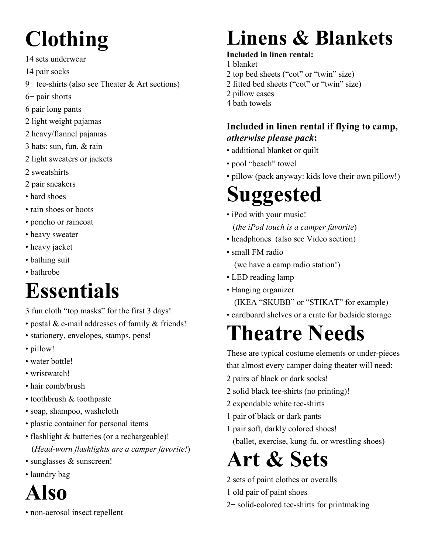# **Clothing**

- 14 sets underwear
- 14 pair socks
- 9+ tee-shirts (also see Theater & Art sections)
- 6+ pair shorts
- 6 pair long pants
- 2 light weight pajamas
- 2 heavy/flannel pajamas
- 3 hats: sun, fun, & rain
- 2 light sweaters or jackets
- 2 sweatshirts
- 2 pair sneakers
- hard shoes
- rain shoes or boots
- poncho or raincoat
- heavy sweater
- heavy jacket
- bathing suit
- bathrobe

#### **Essentials**

- 3 fun cloth "top masks" for the first 3 days!
- postal & e-mail addresses of family & friends!
- stationery, envelopes, stamps, pens!
- pillow!
- water bottle!
- wristwatch!
- hair comb/brush
- toothbrush & toothpaste
- soap, shampoo, washcloth
- plastic container for personal items
- flashlight & batteries (or a rechargeable)! (*Head-worn flashlights are a camper favorite!*)
- sunglasses & sunscreen!
- laundry bag

#### **Also**

• non-aerosol insect repellent

## **Linens & Blankets**

#### **Included in linen rental:**

- 1 blanket
- 2 top bed sheets ("cot" or "twin" size)
- 2 fitted bed sheets ("cot" or "twin" size)
- 2 pillow cases
- 4 bath towels

#### **Included in linen rental if flying to camp,**  *otherwise please pack***:**

- additional blanket or quilt
- pool "beach" towel
- pillow (pack anyway: kids love their own pillow!)

# **Suggested**

- iPod with your music! (*the iPod touch is a camper favorite*)
- headphones (also see Video section)
- small FM radio (we have a camp radio station!)
- LED reading lamp
- Hanging organizer
	- (IKEA "SKUBB" or "STIKAT" for example)
- cardboard shelves or a crate for bedside storage

### **Theatre Needs**

These are typical costume elements or under-pieces that almost every camper doing theater will need:

- 2 pairs of black or dark socks!
- 2 solid black tee-shirts (no printing)!
- 2 expendable white tee-shirts
- 1 pair of black or dark pants
- 1 pair soft, darkly colored shoes!
	- (ballet, exercise, kung-fu, or wrestling shoes)

#### **Art & Sets**

- 2 sets of paint clothes or overalls
- 1 old pair of paint shoes
- 2+ solid-colored tee-shirts for printmaking